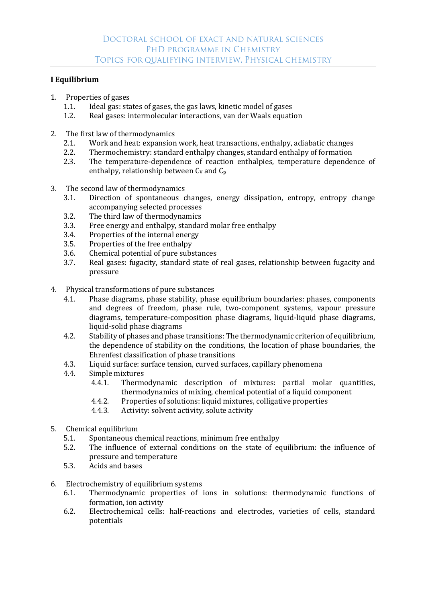## **I Equilibrium**

- 1. Properties of gases
	- 1.1. Ideal gas: states of gases, the gas laws, kinetic model of gases
	- 1.2. Real gases: intermolecular interactions, van der Waals equation
- 2. The first law of thermodynamics
	- 2.1. Work and heat: expansion work, heat transactions, enthalpy, adiabatic changes
	- 2.2. Thermochemistry: standard enthalpy changes, standard enthalpy of formation
	- 2.3. The temperature-dependence of reaction enthalpies, temperature dependence of enthalpy, relationship between  $C_v$  and  $C_p$
- 3. The second law of thermodynamics
	- 3.1. Direction of spontaneous changes, energy dissipation, entropy, entropy change accompanying selected processes
	- 3.2. The third law of thermodynamics
	- 3.3. Free energy and enthalpy, standard molar free enthalpy
	- 3.4. Properties of the internal energy
	- 3.5. Properties of the free enthalpy
	- 3.6. Chemical potential of pure substances
	- 3.7. Real gases: fugacity, standard state of real gases, relationship between fugacity and pressure
- 4. Physical transformations of pure substances
	- 4.1. Phase diagrams, phase stability, phase equilibrium boundaries: phases, components and degrees of freedom, phase rule, two-component systems, vapour pressure diagrams, temperature-composition phase diagrams, liquid-liquid phase diagrams, liquid-solid phase diagrams
	- 4.2. Stability of phases and phase transitions: The thermodynamic criterion of equilibrium, the dependence of stability on the conditions, the location of phase boundaries, the Ehrenfest classification of phase transitions
	- 4.3. Liquid surface: surface tension, curved surfaces, capillary phenomena
	- 4.4. Simple mixtures
		- 4.4.1. Thermodynamic description of mixtures: partial molar quantities, thermodynamics of mixing, chemical potential of a liquid component
		- 4.4.2. Properties of solutions: liquid mixtures, colligative properties
		- 4.4.3. Activity: solvent activity, solute activity
- 5. Chemical equilibrium
	- 5.1. Spontaneous chemical reactions, minimum free enthalpy
	- 5.2. The influence of external conditions on the state of equilibrium: the influence of pressure and temperature
	- 5.3. Acids and bases
- 6. Electrochemistry of equilibrium systems
	- 6.1. Thermodynamic properties of ions in solutions: thermodynamic functions of formation, ion activity
	- 6.2. Electrochemical cells: half-reactions and electrodes, varieties of cells, standard potentials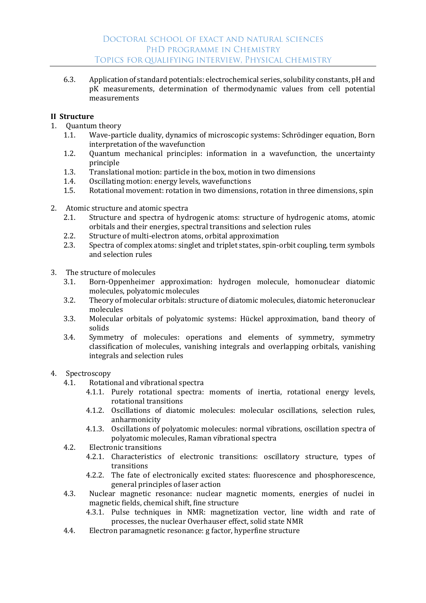6.3. Application of standard potentials: electrochemical series, solubility constants, pH and pK measurements, determination of thermodynamic values from cell potential measurements

## **II Structure**

- 1. Quantum theory
	- 1.1. Wave-particle duality, dynamics of microscopic systems: Schrödinger equation, Born interpretation of the wavefunction
	- 1.2. Quantum mechanical principles: information in a wavefunction, the uncertainty principle
	- 1.3. Translational motion: particle in the box, motion in two dimensions
	- 1.4. Oscillating motion: energy levels, wavefunctions
	- 1.5. Rotational movement: rotation in two dimensions, rotation in three dimensions, spin
- 2. Atomic structure and atomic spectra
	- 2.1. Structure and spectra of hydrogenic atoms: structure of hydrogenic atoms, atomic orbitals and their energies, spectral transitions and selection rules
	- 2.2. Structure of multi-electron atoms, orbital approximation
	- 2.3. Spectra of complex atoms: singlet and triplet states, spin-orbit coupling, term symbols and selection rules
- 3. The structure of molecules
	- 3.1. Born-Oppenheimer approximation: hydrogen molecule, homonuclear diatomic molecules, polyatomic molecules
	- 3.2. Theory of molecular orbitals: structure of diatomic molecules, diatomic heteronuclear molecules
	- 3.3. Molecular orbitals of polyatomic systems: Hückel approximation, band theory of solids
	- 3.4. Symmetry of molecules: operations and elements of symmetry, symmetry classification of molecules, vanishing integrals and overlapping orbitals, vanishing integrals and selection rules
- 4. Spectroscopy
	- 4.1. Rotational and vibrational spectra
		- 4.1.1. Purely rotational spectra: moments of inertia, rotational energy levels, rotational transitions
		- 4.1.2. Oscillations of diatomic molecules: molecular oscillations, selection rules, anharmonicity
		- 4.1.3. Oscillations of polyatomic molecules: normal vibrations, oscillation spectra of polyatomic molecules, Raman vibrational spectra
	- 4.2. Electronic transitions
		- 4.2.1. Characteristics of electronic transitions: oscillatory structure, types of transitions
		- 4.2.2. The fate of electronically excited states: fluorescence and phosphorescence, general principles of laser action
	- 4.3. Nuclear magnetic resonance: nuclear magnetic moments, energies of nuclei in magnetic fields, chemical shift, fine structure
		- 4.3.1. Pulse techniques in NMR: magnetization vector, line width and rate of processes, the nuclear Overhauser effect, solid state NMR
	- 4.4. Electron paramagnetic resonance: g factor, hyperfine structure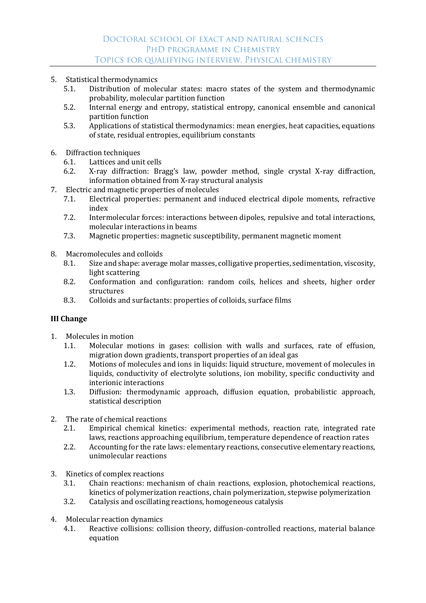- 5. Statistical thermodynamics
	- 5.1. Distribution of molecular states: macro states of the system and thermodynamic probability, molecular partition function
	- 5.2. Internal energy and entropy, statistical entropy, canonical ensemble and canonical partition function
	- 5.3. Applications of statistical thermodynamics: mean energies, heat capacities, equations of state, residual entropies, equilibrium constants
- 6. Diffraction techniques
	- 6.1. Lattices and unit cells
	- 6.2. X-ray diffraction: Bragg's law, powder method, single crystal X-ray diffraction, information obtained from X-ray structural analysis
- 7. Electric and magnetic properties of molecules
	- 7.1. Electrical properties: permanent and induced electrical dipole moments, refractive index
	- 7.2. Intermolecular forces: interactions between dipoles, repulsive and total interactions, molecular interactions in beams
	- 7.3. Magnetic properties: magnetic susceptibility, permanent magnetic moment
- 8. Macromolecules and colloids
	- 8.1. Size and shape: average molar masses, colligative properties, sedimentation, viscosity, light scattering
	- 8.2. Conformation and configuration: random coils, helices and sheets, higher order structures
	- 8.3. Colloids and surfactants: properties of colloids, surface films

## **III Change**

- 1. Molecules in motion
	- 1.1. Molecular motions in gases: collision with walls and surfaces, rate of effusion, migration down gradients, transport properties of an ideal gas
	- 1.2. Motions of molecules and ions in liquids: liquid structure, movement of molecules in liquids, conductivity of electrolyte solutions, ion mobility, specific conductivity and interionic interactions
	- 1.3. Diffusion: thermodynamic approach, diffusion equation, probabilistic approach, statistical description
- 2. The rate of chemical reactions
	- 2.1. Empirical chemical kinetics: experimental methods, reaction rate, integrated rate laws, reactions approaching equilibrium, temperature dependence of reaction rates
	- 2.2. Accounting for the rate laws: elementary reactions, consecutive elementary reactions, unimolecular reactions
- 3. Kinetics of complex reactions
	- 3.1. Chain reactions: mechanism of chain reactions, explosion, photochemical reactions, kinetics of polymerization reactions, chain polymerization, stepwise polymerization
	- 3.2. Catalysis and oscillating reactions, homogeneous catalysis
- 4. Molecular reaction dynamics
	- 4.1. Reactive collisions: collision theory, diffusion-controlled reactions, material balance equation